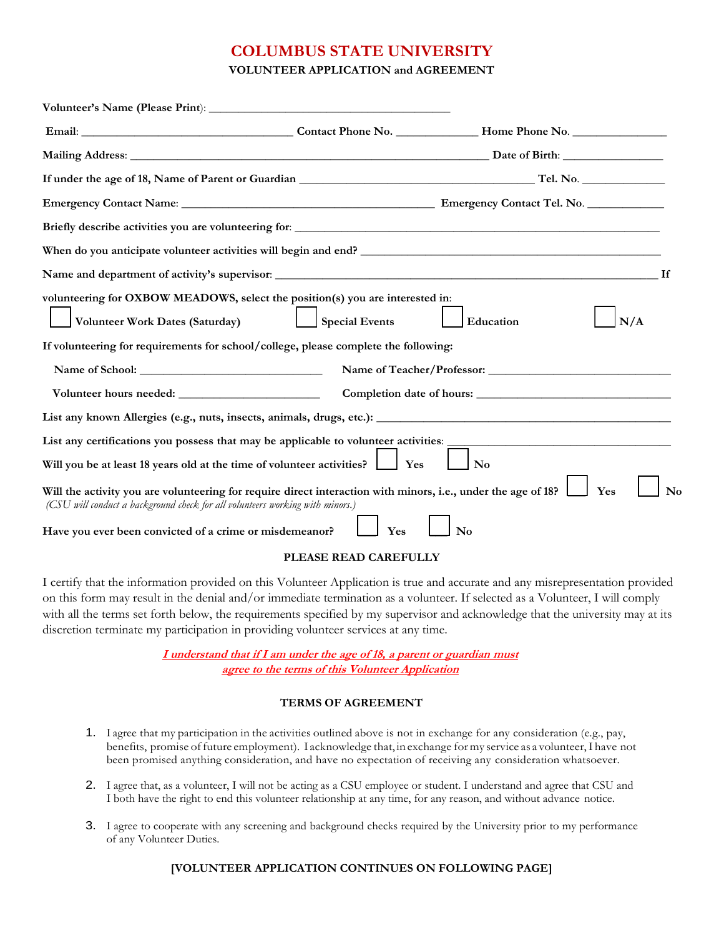## **COLUMBUS STATE UNIVERSITY**

**VOLUNTEER APPLICATION and AGREEMENT**

| Briefly describe activities you are volunteering for: ___________________________                                                                                                              |                       |                  |          |  |
|------------------------------------------------------------------------------------------------------------------------------------------------------------------------------------------------|-----------------------|------------------|----------|--|
|                                                                                                                                                                                                |                       |                  |          |  |
|                                                                                                                                                                                                |                       |                  |          |  |
| volunteering for OXBOW MEADOWS, select the position(s) you are interested in:<br>Volunteer Work Dates (Saturday)                                                                               | <b>Special Events</b> | Education<br>N/A |          |  |
| If volunteering for requirements for school/college, please complete the following:                                                                                                            |                       |                  |          |  |
|                                                                                                                                                                                                |                       |                  |          |  |
|                                                                                                                                                                                                |                       |                  |          |  |
|                                                                                                                                                                                                |                       |                  |          |  |
| List any certifications you possess that may be applicable to volunteer activities:                                                                                                            |                       |                  |          |  |
| Will you be at least 18 years old at the time of volunteer activities?                                                                                                                         | Yes                   | N <sub>0</sub>   |          |  |
| Will the activity you are volunteering for require direct interaction with minors, i.e., under the age of 18?<br>(CSU will conduct a background check for all volunteers working with minors.) |                       | Yes              | $\rm No$ |  |
| Have you ever been convicted of a crime or misdemeanor?                                                                                                                                        | Yes                   | No               |          |  |

## **PLEASE READ CAREFULLY**

I certify that the information provided on this Volunteer Application is true and accurate and any misrepresentation provided on this form may result in the denial and/or immediate termination as a volunteer. If selected as a Volunteer, I will comply with all the terms set forth below, the requirements specified by my supervisor and acknowledge that the university may at its discretion terminate my participation in providing volunteer services at any time.

> **I understand that if I am under the age of 18, a parent or guardian must agree to the terms of this Volunteer Application**

## **TERMS OF AGREEMENT**

- 1. I agree that my participation in the activities outlined above is not in exchange for any consideration (e.g., pay, benefits, promise offuture employment). I acknowledge that, in exchange formy service as a volunteer,I have not been promised anything consideration, and have no expectation of receiving any consideration whatsoever.
- 2. I agree that, as a volunteer, I will not be acting as a CSU employee or student. I understand and agree that CSU and I both have the right to end this volunteer relationship at any time, for any reason, and without advance notice.
- 3. I agree to cooperate with any screening and background checks required by the University prior to my performance of any Volunteer Duties.

## **[VOLUNTEER APPLICATION CONTINUES ON FOLLOWING PAGE]**